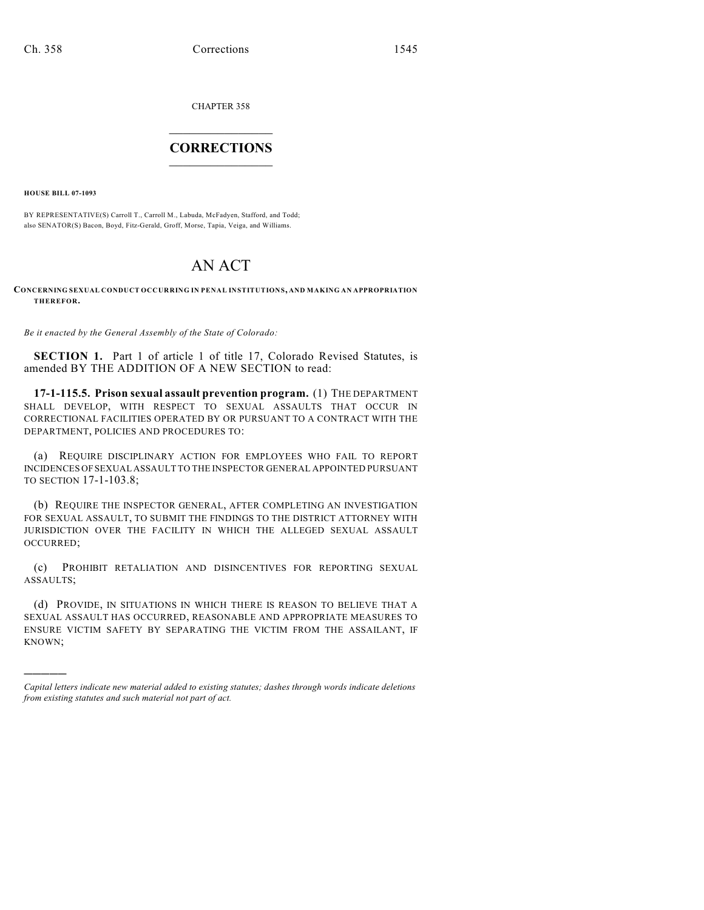CHAPTER 358

## $\overline{\phantom{a}}$  . The set of the set of the set of the set of the set of the set of the set of the set of the set of the set of the set of the set of the set of the set of the set of the set of the set of the set of the set o **CORRECTIONS**  $\frac{1}{2}$  ,  $\frac{1}{2}$  ,  $\frac{1}{2}$  ,  $\frac{1}{2}$  ,  $\frac{1}{2}$  ,  $\frac{1}{2}$

**HOUSE BILL 07-1093**

)))))

BY REPRESENTATIVE(S) Carroll T., Carroll M., Labuda, McFadyen, Stafford, and Todd; also SENATOR(S) Bacon, Boyd, Fitz-Gerald, Groff, Morse, Tapia, Veiga, and Williams.

# AN ACT

### **CONCERNING SEXUAL CONDUCT OCCURRING IN PENAL INSTITUTIONS, AND MAKING AN APPROPRIATION THEREFOR.**

*Be it enacted by the General Assembly of the State of Colorado:*

**SECTION 1.** Part 1 of article 1 of title 17, Colorado Revised Statutes, is amended BY THE ADDITION OF A NEW SECTION to read:

**17-1-115.5. Prison sexual assault prevention program.** (1) THE DEPARTMENT SHALL DEVELOP, WITH RESPECT TO SEXUAL ASSAULTS THAT OCCUR IN CORRECTIONAL FACILITIES OPERATED BY OR PURSUANT TO A CONTRACT WITH THE DEPARTMENT, POLICIES AND PROCEDURES TO:

(a) REQUIRE DISCIPLINARY ACTION FOR EMPLOYEES WHO FAIL TO REPORT INCIDENCES OF SEXUAL ASSAULT TO THE INSPECTOR GENERAL APPOINTED PURSUANT TO SECTION 17-1-103.8;

(b) REQUIRE THE INSPECTOR GENERAL, AFTER COMPLETING AN INVESTIGATION FOR SEXUAL ASSAULT, TO SUBMIT THE FINDINGS TO THE DISTRICT ATTORNEY WITH JURISDICTION OVER THE FACILITY IN WHICH THE ALLEGED SEXUAL ASSAULT OCCURRED;

(c) PROHIBIT RETALIATION AND DISINCENTIVES FOR REPORTING SEXUAL ASSAULTS;

(d) PROVIDE, IN SITUATIONS IN WHICH THERE IS REASON TO BELIEVE THAT A SEXUAL ASSAULT HAS OCCURRED, REASONABLE AND APPROPRIATE MEASURES TO ENSURE VICTIM SAFETY BY SEPARATING THE VICTIM FROM THE ASSAILANT, IF KNOWN;

*Capital letters indicate new material added to existing statutes; dashes through words indicate deletions from existing statutes and such material not part of act.*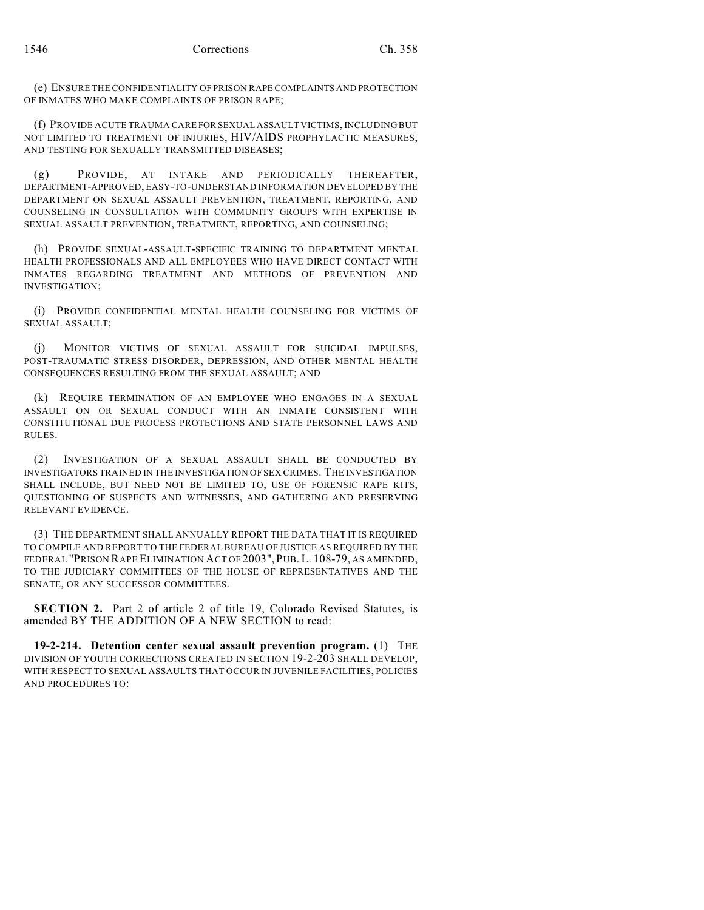(e) ENSURE THE CONFIDENTIALITY OF PRISON RAPE COMPLAINTS AND PROTECTION OF INMATES WHO MAKE COMPLAINTS OF PRISON RAPE;

(f) PROVIDE ACUTE TRAUMA CARE FOR SEXUAL ASSAULT VICTIMS, INCLUDING BUT NOT LIMITED TO TREATMENT OF INJURIES, HIV/AIDS PROPHYLACTIC MEASURES, AND TESTING FOR SEXUALLY TRANSMITTED DISEASES;

(g) PROVIDE, AT INTAKE AND PERIODICALLY THEREAFTER, DEPARTMENT-APPROVED, EASY-TO-UNDERSTAND INFORMATION DEVELOPED BY THE DEPARTMENT ON SEXUAL ASSAULT PREVENTION, TREATMENT, REPORTING, AND COUNSELING IN CONSULTATION WITH COMMUNITY GROUPS WITH EXPERTISE IN SEXUAL ASSAULT PREVENTION, TREATMENT, REPORTING, AND COUNSELING;

(h) PROVIDE SEXUAL-ASSAULT-SPECIFIC TRAINING TO DEPARTMENT MENTAL HEALTH PROFESSIONALS AND ALL EMPLOYEES WHO HAVE DIRECT CONTACT WITH INMATES REGARDING TREATMENT AND METHODS OF PREVENTION AND INVESTIGATION;

(i) PROVIDE CONFIDENTIAL MENTAL HEALTH COUNSELING FOR VICTIMS OF SEXUAL ASSAULT;

(j) MONITOR VICTIMS OF SEXUAL ASSAULT FOR SUICIDAL IMPULSES, POST-TRAUMATIC STRESS DISORDER, DEPRESSION, AND OTHER MENTAL HEALTH CONSEQUENCES RESULTING FROM THE SEXUAL ASSAULT; AND

(k) REQUIRE TERMINATION OF AN EMPLOYEE WHO ENGAGES IN A SEXUAL ASSAULT ON OR SEXUAL CONDUCT WITH AN INMATE CONSISTENT WITH CONSTITUTIONAL DUE PROCESS PROTECTIONS AND STATE PERSONNEL LAWS AND RULES.

(2) INVESTIGATION OF A SEXUAL ASSAULT SHALL BE CONDUCTED BY INVESTIGATORS TRAINED IN THE INVESTIGATION OF SEX CRIMES. THE INVESTIGATION SHALL INCLUDE, BUT NEED NOT BE LIMITED TO, USE OF FORENSIC RAPE KITS, QUESTIONING OF SUSPECTS AND WITNESSES, AND GATHERING AND PRESERVING RELEVANT EVIDENCE.

(3) THE DEPARTMENT SHALL ANNUALLY REPORT THE DATA THAT IT IS REQUIRED TO COMPILE AND REPORT TO THE FEDERAL BUREAU OF JUSTICE AS REQUIRED BY THE FEDERAL "PRISON RAPE ELIMINATION ACT OF 2003", PUB. L. 108-79, AS AMENDED, TO THE JUDICIARY COMMITTEES OF THE HOUSE OF REPRESENTATIVES AND THE SENATE, OR ANY SUCCESSOR COMMITTEES.

**SECTION 2.** Part 2 of article 2 of title 19, Colorado Revised Statutes, is amended BY THE ADDITION OF A NEW SECTION to read:

**19-2-214. Detention center sexual assault prevention program.** (1) THE DIVISION OF YOUTH CORRECTIONS CREATED IN SECTION 19-2-203 SHALL DEVELOP, WITH RESPECT TO SEXUAL ASSAULTS THAT OCCUR IN JUVENILE FACILITIES, POLICIES AND PROCEDURES TO: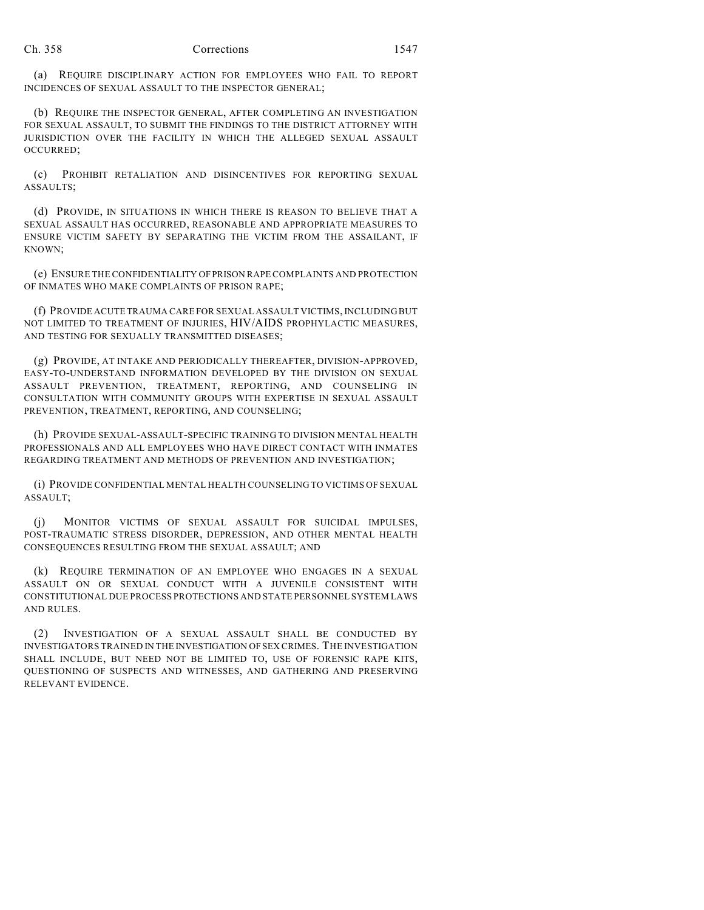#### Ch. 358 Corrections 1547

(a) REQUIRE DISCIPLINARY ACTION FOR EMPLOYEES WHO FAIL TO REPORT INCIDENCES OF SEXUAL ASSAULT TO THE INSPECTOR GENERAL;

(b) REQUIRE THE INSPECTOR GENERAL, AFTER COMPLETING AN INVESTIGATION FOR SEXUAL ASSAULT, TO SUBMIT THE FINDINGS TO THE DISTRICT ATTORNEY WITH JURISDICTION OVER THE FACILITY IN WHICH THE ALLEGED SEXUAL ASSAULT OCCURRED;

(c) PROHIBIT RETALIATION AND DISINCENTIVES FOR REPORTING SEXUAL ASSAULTS;

(d) PROVIDE, IN SITUATIONS IN WHICH THERE IS REASON TO BELIEVE THAT A SEXUAL ASSAULT HAS OCCURRED, REASONABLE AND APPROPRIATE MEASURES TO ENSURE VICTIM SAFETY BY SEPARATING THE VICTIM FROM THE ASSAILANT, IF KNOWN;

(e) ENSURE THE CONFIDENTIALITY OF PRISON RAPE COMPLAINTS AND PROTECTION OF INMATES WHO MAKE COMPLAINTS OF PRISON RAPE;

(f) PROVIDE ACUTE TRAUMA CARE FOR SEXUAL ASSAULT VICTIMS, INCLUDING BUT NOT LIMITED TO TREATMENT OF INJURIES, HIV/AIDS PROPHYLACTIC MEASURES, AND TESTING FOR SEXUALLY TRANSMITTED DISEASES;

(g) PROVIDE, AT INTAKE AND PERIODICALLY THEREAFTER, DIVISION-APPROVED, EASY-TO-UNDERSTAND INFORMATION DEVELOPED BY THE DIVISION ON SEXUAL ASSAULT PREVENTION, TREATMENT, REPORTING, AND COUNSELING IN CONSULTATION WITH COMMUNITY GROUPS WITH EXPERTISE IN SEXUAL ASSAULT PREVENTION, TREATMENT, REPORTING, AND COUNSELING;

(h) PROVIDE SEXUAL-ASSAULT-SPECIFIC TRAINING TO DIVISION MENTAL HEALTH PROFESSIONALS AND ALL EMPLOYEES WHO HAVE DIRECT CONTACT WITH INMATES REGARDING TREATMENT AND METHODS OF PREVENTION AND INVESTIGATION;

(i) PROVIDE CONFIDENTIAL MENTAL HEALTH COUNSELING TO VICTIMS OF SEXUAL ASSAULT;

(j) MONITOR VICTIMS OF SEXUAL ASSAULT FOR SUICIDAL IMPULSES, POST-TRAUMATIC STRESS DISORDER, DEPRESSION, AND OTHER MENTAL HEALTH CONSEQUENCES RESULTING FROM THE SEXUAL ASSAULT; AND

(k) REQUIRE TERMINATION OF AN EMPLOYEE WHO ENGAGES IN A SEXUAL ASSAULT ON OR SEXUAL CONDUCT WITH A JUVENILE CONSISTENT WITH CONSTITUTIONAL DUE PROCESS PROTECTIONS AND STATE PERSONNEL SYSTEM LAWS AND RULES.

(2) INVESTIGATION OF A SEXUAL ASSAULT SHALL BE CONDUCTED BY INVESTIGATORS TRAINED IN THE INVESTIGATION OF SEX CRIMES. THE INVESTIGATION SHALL INCLUDE, BUT NEED NOT BE LIMITED TO, USE OF FORENSIC RAPE KITS, QUESTIONING OF SUSPECTS AND WITNESSES, AND GATHERING AND PRESERVING RELEVANT EVIDENCE.